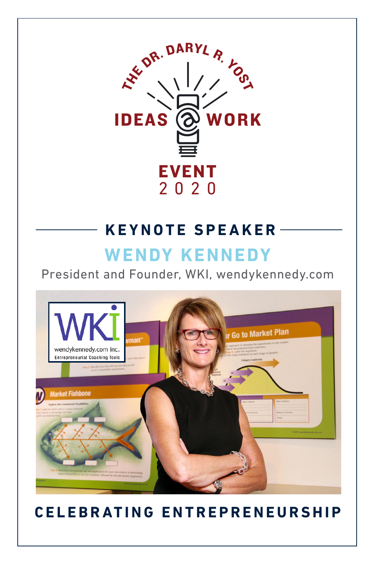

### **KEYNOTE SPEAKER**

# **[WENDY KENNEDY](https://wendykennedy.com/about/wendy-kennedy/)**

[President and Founder, WKI, wendykennedy.com](https://wendykennedy.com/the-methodology/)



## **CELEBRATING ENTREPRENEURSHIP**